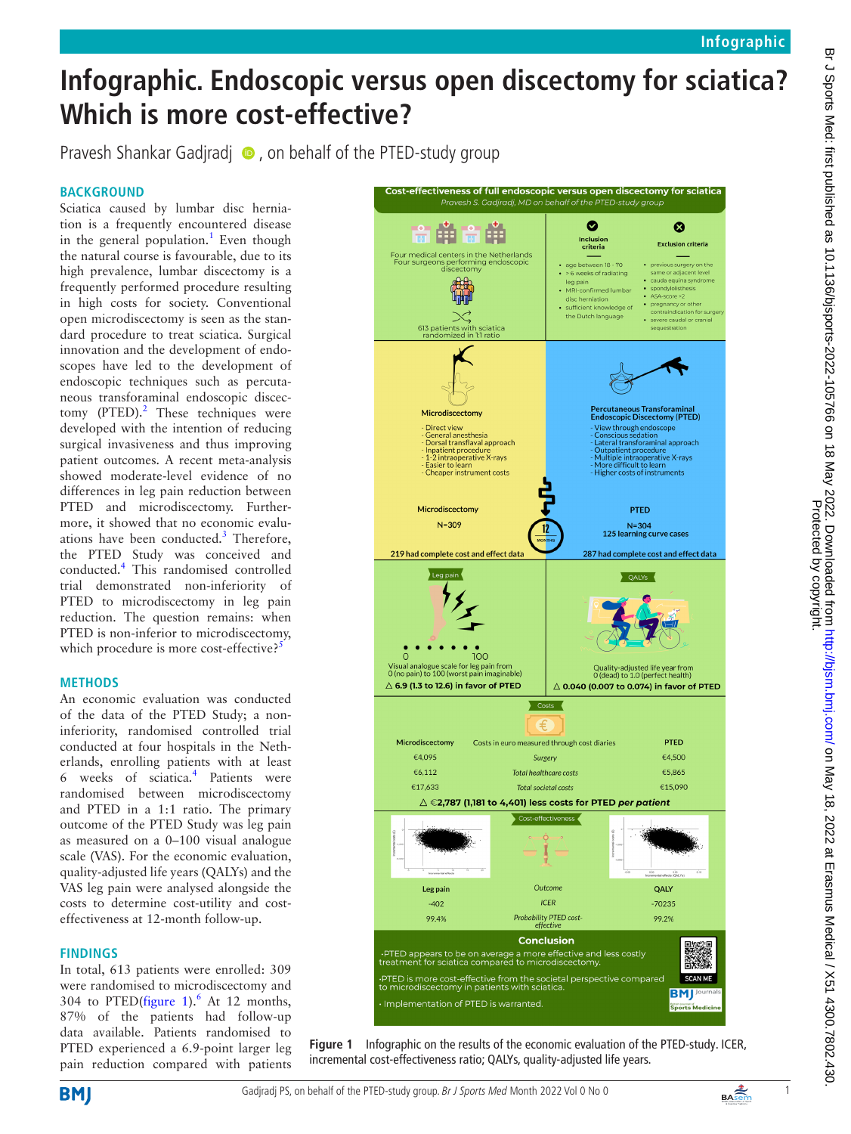# **Infographic. Endoscopic versus open discectomy for sciatica? Which is more cost-effective?**

Pravesh Shankar Gadjradj  $\bullet$ , on behalf of the PTED-study group

# **BACKGROUND**

Sciatica caused by lumbar disc herniation is a frequently encountered disease in the general population.<sup>1</sup> Even though the natural course is favourable, due to its high prevalence, lumbar discectomy is a frequently performed procedure resulting in high costs for society. Conventional open microdiscectomy is seen as the standard procedure to treat sciatica. Surgical innovation and the development of endoscopes have led to the development of endoscopic techniques such as percutaneous transforaminal endoscopic discectomy  $(PTED).<sup>2</sup>$  $(PTED).<sup>2</sup>$  $(PTED).<sup>2</sup>$  These techniques were developed with the intention of reducing surgical invasiveness and thus improving patient outcomes. A recent meta-analysis showed moderate-level evidence of no differences in leg pain reduction between PTED and microdiscectomy. Furthermore, it showed that no economic evalu-ations have been conducted.<sup>[3](#page-1-2)</sup> Therefore, the PTED Study was conceived and conducted.[4](#page-1-3) This randomised controlled trial demonstrated non-inferiority of PTED to microdiscectomy in leg pain reduction. The question remains: when PTED is non-inferior to microdiscectomy, which procedure is more cost-effective?<sup>5</sup>

## **METHODS**

An economic evaluation was conducted of the data of the PTED Study; a noninferiority, randomised controlled trial conducted at four hospitals in the Netherlands, enrolling patients with at least 6 weeks of sciatica.[4](#page-1-3) Patients were randomised between microdiscectomy and PTED in a 1:1 ratio. The primary outcome of the PTED Study was leg pain as measured on a 0–100 visual analogue scale (VAS). For the economic evaluation, quality-adjusted life years (QALYs) and the VAS leg pain were analysed alongside the costs to determine cost-utility and costeffectiveness at 12-month follow-up.

## **FINDINGS**

In total, 613 patients were enrolled: 309 were randomised to microdiscectomy and 304 to PTED[\(figure](#page-0-0) 1). $^6$  $^6$  At 12 months, 87% of the patients had follow-up data available. Patients randomised to PTED experienced a 6.9-point larger leg pain reduction compared with patients



<span id="page-0-0"></span>**Figure 1** Infographic on the results of the economic evaluation of the PTED-study. ICER, incremental cost-effectiveness ratio; QALYs, quality-adjusted life years.